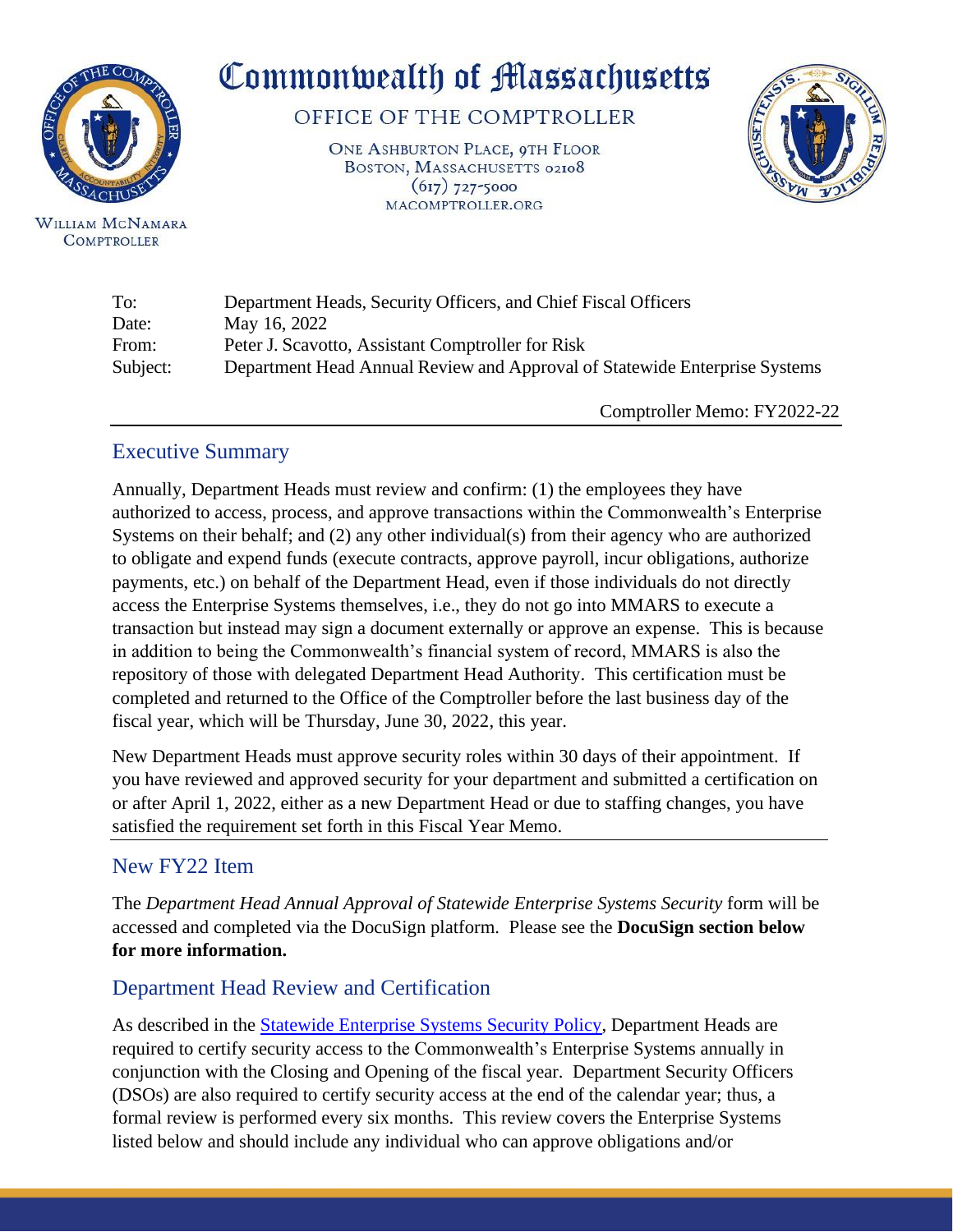

WILLIAM MCNAMARA **COMPTROLLER** 

# Commonwealth of Massachusetts

OFFICE OF THE COMPTROLLER

ONE ASHBURTON PLACE, QTH FLOOR BOSTON, MASSACHUSETTS 02108  $(617)$  727-5000 MACOMPTROLLER.ORG



| To:      | Department Heads, Security Officers, and Chief Fiscal Officers             |
|----------|----------------------------------------------------------------------------|
| Date:    | May 16, 2022                                                               |
| From:    | Peter J. Scavotto, Assistant Comptroller for Risk                          |
| Subject: | Department Head Annual Review and Approval of Statewide Enterprise Systems |
|          |                                                                            |

Comptroller Memo: FY2022-22

## Executive Summary

Annually, Department Heads must review and confirm: (1) the employees they have authorized to access, process, and approve transactions within the Commonwealth's Enterprise Systems on their behalf; and (2) any other individual(s) from their agency who are authorized to obligate and expend funds (execute contracts, approve payroll, incur obligations, authorize payments, etc.) on behalf of the Department Head, even if those individuals do not directly access the Enterprise Systems themselves, i.e., they do not go into MMARS to execute a transaction but instead may sign a document externally or approve an expense. This is because in addition to being the Commonwealth's financial system of record, MMARS is also the repository of those with delegated Department Head Authority. This certification must be completed and returned to the Office of the Comptroller before the last business day of the fiscal year, which will be Thursday, June 30, 2022, this year.

New Department Heads must approve security roles within 30 days of their appointment. If you have reviewed and approved security for your department and submitted a certification on or after April 1, 2022, either as a new Department Head or due to staffing changes, you have satisfied the requirement set forth in this Fiscal Year Memo.

## New FY22 Item

The *Department Head Annual Approval of Statewide Enterprise Systems Security* form will be accessed and completed via the DocuSign platform. Please see the **DocuSign section below for more information.**

## Department Head Review and Certification

As described in the [Statewide Enterprise Systems Security Policy,](https://public.powerdms.com/MAComptroller/documents/1779892) Department Heads are required to certify security access to the Commonwealth's Enterprise Systems annually in conjunction with the Closing and Opening of the fiscal year. Department Security Officers (DSOs) are also required to certify security access at the end of the calendar year; thus, a formal review is performed every six months. This review covers the Enterprise Systems listed below and should include any individual who can approve obligations and/or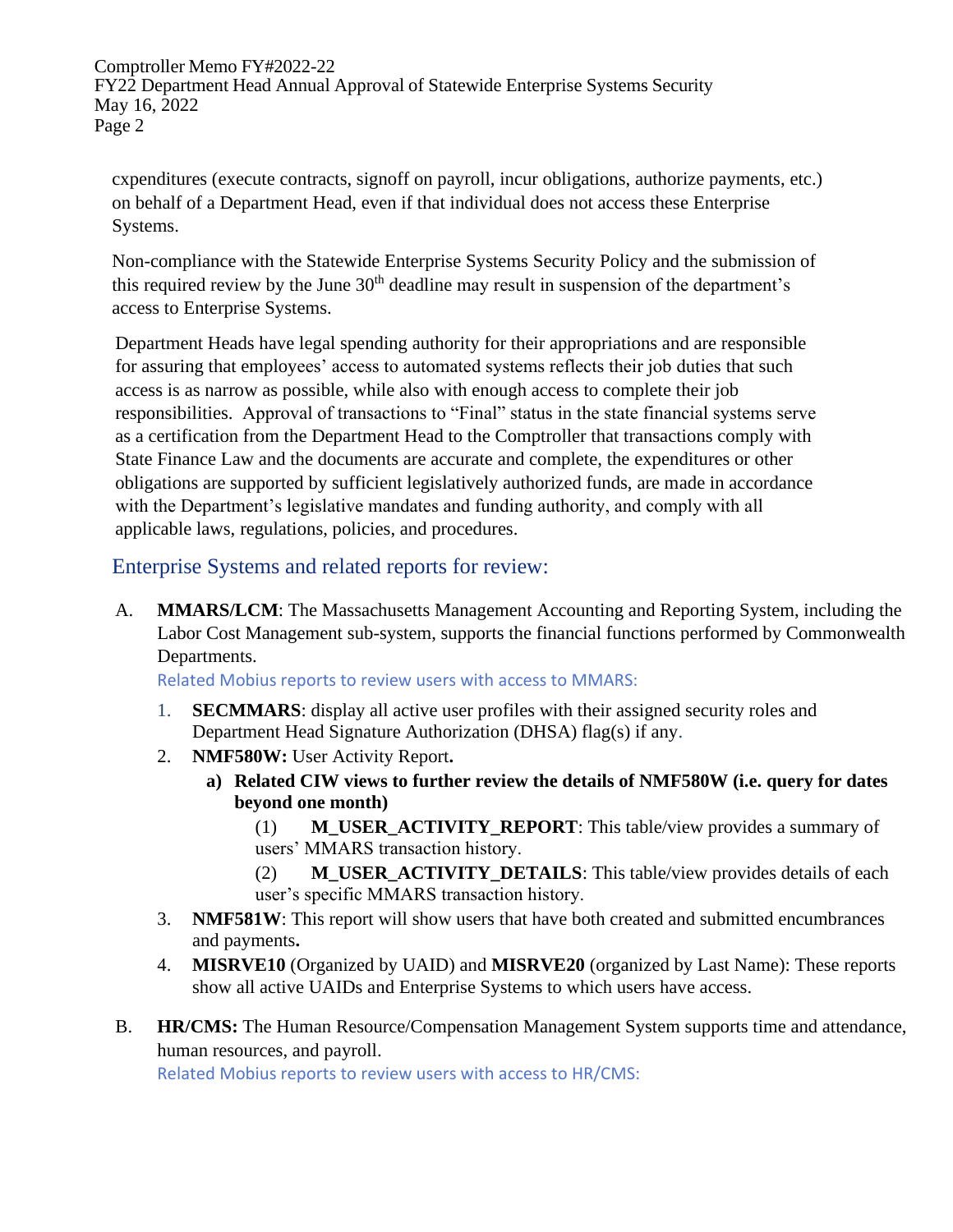Comptroller Memo FY#2022-22 FY22 Department Head Annual Approval of Statewide Enterprise Systems Security May 16, 2022 Page 2

cxpenditures (execute contracts, signoff on payroll, incur obligations, authorize payments, etc.) on behalf of a Department Head, even if that individual does not access these Enterprise Systems.

Non-compliance with the Statewide Enterprise Systems Security Policy and the submission of this required review by the June  $30<sup>th</sup>$  deadline may result in suspension of the department's access to Enterprise Systems.

Department Heads have legal spending authority for their appropriations and are responsible for assuring that employees' access to automated systems reflects their job duties that such access is as narrow as possible, while also with enough access to complete their job responsibilities. Approval of transactions to "Final" status in the state financial systems serve as a certification from the Department Head to the Comptroller that transactions comply with State Finance Law and the documents are accurate and complete, the expenditures or other obligations are supported by sufficient legislatively authorized funds, are made in accordance with the Department's legislative mandates and funding authority, and comply with all applicable laws, regulations, policies, and procedures.

Enterprise Systems and related reports for review:

A. **MMARS/LCM**: The Massachusetts Management Accounting and Reporting System, including the Labor Cost Management sub-system, supports the financial functions performed by Commonwealth Departments.

Related Mobius reports to review users with access to MMARS:

- 1. **SECMMARS**: display all active user profiles with their assigned security roles and Department Head Signature Authorization (DHSA) flag(s) if any.
- 2. **NMF580W:** User Activity Report**.**
	- **a) Related CIW views to further review the details of NMF580W (i.e. query for dates beyond one month)**
		- (1) **M\_USER\_ACTIVITY\_REPORT**: This table/view provides a summary of users' MMARS transaction history.
		- (2) **M\_USER\_ACTIVITY\_DETAILS**: This table/view provides details of each user's specific MMARS transaction history.
- 3. **NMF581W**: This report will show users that have both created and submitted encumbrances and payments**.**
- 4. **MISRVE10** (Organized by UAID) and **MISRVE20** (organized by Last Name): These reports show all active UAIDs and Enterprise Systems to which users have access.
- B. **HR/CMS:** The Human Resource/Compensation Management System supports time and attendance, human resources, and payroll.

Related Mobius reports to review users with access to HR/CMS: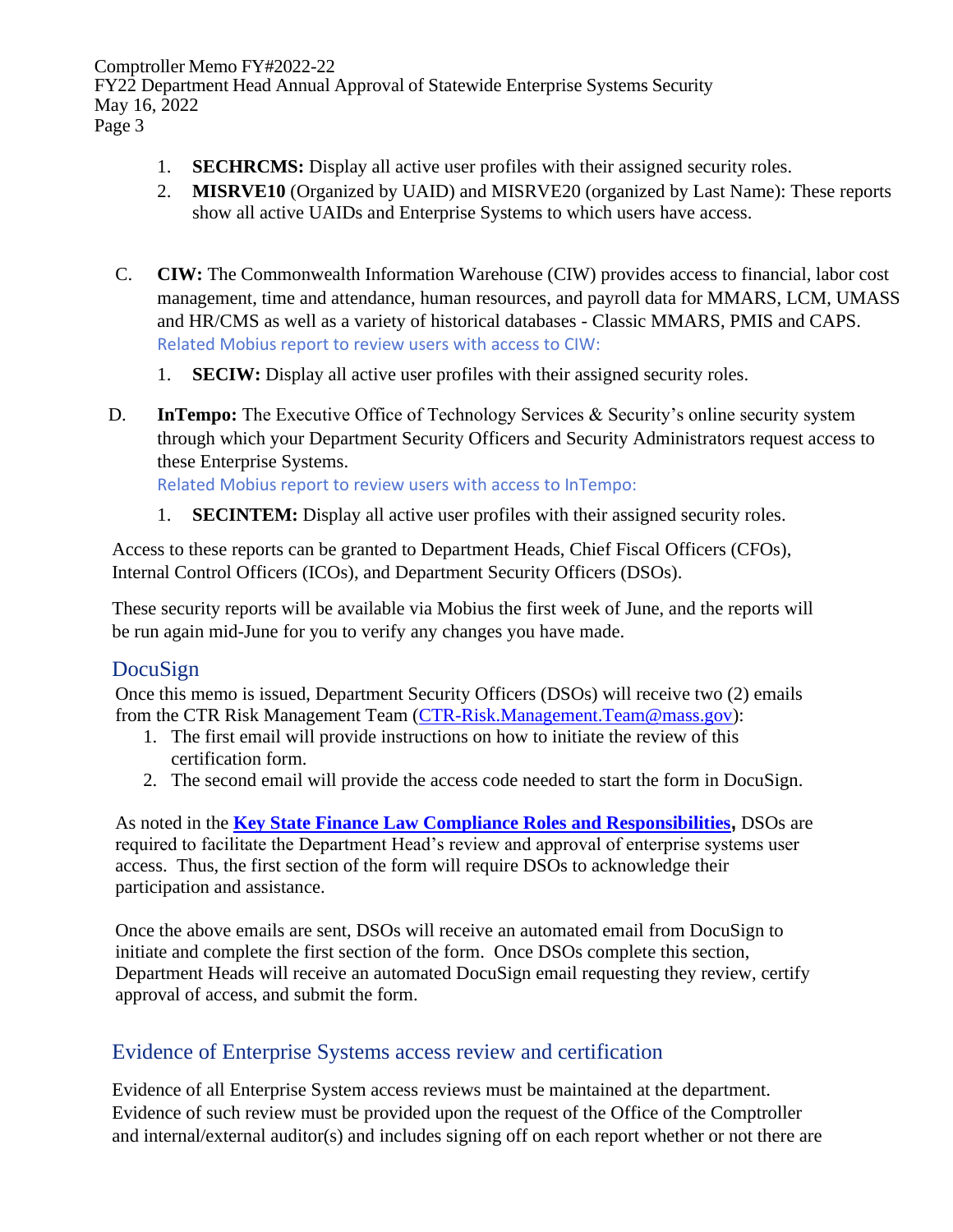Comptroller Memo FY#2022-22 FY22 Department Head Annual Approval of Statewide Enterprise Systems Security May 16, 2022 Page 3

- 1. **SECHRCMS:** Display all active user profiles with their assigned security roles.
- 2. **MISRVE10** (Organized by UAID) and MISRVE20 (organized by Last Name): These reports show all active UAIDs and Enterprise Systems to which users have access.
- C. **CIW:** The Commonwealth Information Warehouse (CIW) provides access to financial, labor cost management, time and attendance, human resources, and payroll data for MMARS, LCM, UMASS and HR/CMS as well as a variety of historical databases - Classic MMARS, PMIS and CAPS. Related Mobius report to review users with access to CIW:
	- 1. **SECIW:** Display all active user profiles with their assigned security roles.
- D. **InTempo:** The Executive Office of Technology Services & Security's online security system through which your Department Security Officers and Security Administrators request access to these Enterprise Systems.

Related Mobius report to review users with access to InTempo:

1. **SECINTEM:** Display all active user profiles with their assigned security roles.

Access to these reports can be granted to Department Heads, Chief Fiscal Officers (CFOs), Internal Control Officers (ICOs), and Department Security Officers (DSOs).

These security reports will be available via Mobius the first week of June, and the reports will be run again mid-June for you to verify any changes you have made.

#### DocuSign

Once this memo is issued, Department Security Officers (DSOs) will receive two (2) emails from the CTR Risk Management Team [\(CTR-Risk.Management.Team@mass.gov\)](mailto:CTR-Risk.Management.Team@mass.gov):

- 1. The first email will provide instructions on how to initiate the review of this certification form.
- 2. The second email will provide the access code needed to start the form in DocuSign.

As noted in the **[Key State Finance Law Compliance Roles and Responsibilities](https://public.powerdms.com/MAComptroller/documents/1861753),** DSOs are required to facilitate the Department Head's review and approval of enterprise systems user access. Thus, the first section of the form will require DSOs to acknowledge their participation and assistance.

Once the above emails are sent, DSOs will receive an automated email from DocuSign to initiate and complete the first section of the form. Once DSOs complete this section, Department Heads will receive an automated DocuSign email requesting they review, certify approval of access, and submit the form.

#### Evidence of Enterprise Systems access review and certification

Evidence of all Enterprise System access reviews must be maintained at the department. Evidence of such review must be provided upon the request of the Office of the Comptroller and internal/external auditor(s) and includes signing off on each report whether or not there are